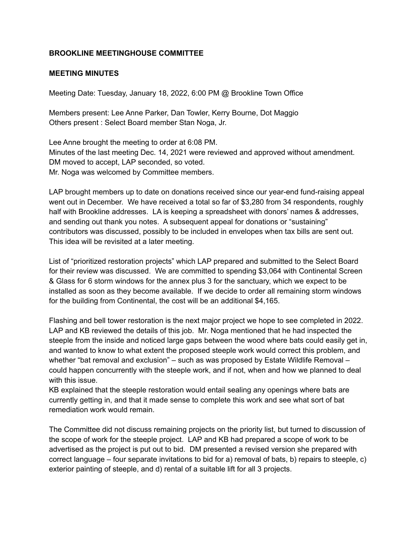## **BROOKLINE MEETINGHOUSE COMMITTEE**

## **MEETING MINUTES**

Meeting Date: Tuesday, January 18, 2022, 6:00 PM @ Brookline Town Office

Members present: Lee Anne Parker, Dan Towler, Kerry Bourne, Dot Maggio Others present : Select Board member Stan Noga, Jr.

Lee Anne brought the meeting to order at 6:08 PM. Minutes of the last meeting Dec. 14, 2021 were reviewed and approved without amendment. DM moved to accept, LAP seconded, so voted. Mr. Noga was welcomed by Committee members.

LAP brought members up to date on donations received since our year-end fund-raising appeal went out in December. We have received a total so far of \$3,280 from 34 respondents, roughly half with Brookline addresses. LA is keeping a spreadsheet with donors' names & addresses, and sending out thank you notes. A subsequent appeal for donations or "sustaining" contributors was discussed, possibly to be included in envelopes when tax bills are sent out. This idea will be revisited at a later meeting.

List of "prioritized restoration projects" which LAP prepared and submitted to the Select Board for their review was discussed. We are committed to spending \$3,064 with Continental Screen & Glass for 6 storm windows for the annex plus 3 for the sanctuary, which we expect to be installed as soon as they become available. If we decide to order all remaining storm windows for the building from Continental, the cost will be an additional \$4,165.

Flashing and bell tower restoration is the next major project we hope to see completed in 2022. LAP and KB reviewed the details of this job. Mr. Noga mentioned that he had inspected the steeple from the inside and noticed large gaps between the wood where bats could easily get in, and wanted to know to what extent the proposed steeple work would correct this problem, and whether "bat removal and exclusion" – such as was proposed by Estate Wildlife Removal – could happen concurrently with the steeple work, and if not, when and how we planned to deal with this issue.

KB explained that the steeple restoration would entail sealing any openings where bats are currently getting in, and that it made sense to complete this work and see what sort of bat remediation work would remain.

The Committee did not discuss remaining projects on the priority list, but turned to discussion of the scope of work for the steeple project. LAP and KB had prepared a scope of work to be advertised as the project is put out to bid. DM presented a revised version she prepared with correct language – four separate invitations to bid for a) removal of bats, b) repairs to steeple, c) exterior painting of steeple, and d) rental of a suitable lift for all 3 projects.